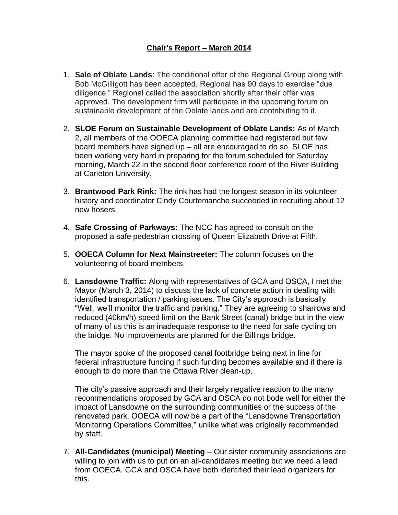# **Chair's Report – March 2014**

- 1. **Sale of Oblate Lands**: The conditional offer of the Regional Group along with Bob McGilligott has been accepted. Regional has 90 days to exercise "due diligence." Regional called the association shortly after their offer was approved. The development firm will participate in the upcoming forum on sustainable development of the Oblate lands and are contributing to it.
- 2. **SLOE Forum on Sustainable Development of Oblate Lands:** As of March 2, all members of the OOECA planning committee had registered but few board members have signed up – all are encouraged to do so. SLOE has been working very hard in preparing for the forum scheduled for Saturday morning, March 22 in the second floor conference room of the River Building at Carleton University.
- 3. **Brantwood Park Rink:** The rink has had the longest season in its volunteer history and coordinator Cindy Courtemanche succeeded in recruiting about 12 new hosers.
- 4. **Safe Crossing of Parkways:** The NCC has agreed to consult on the proposed a safe pedestrian crossing of Queen Elizabeth Drive at Fifth.
- 5. **OOECA Column for Next Mainstreeter:** The column focuses on the volunteering of board members.
- 6. **Lansdowne Traffic:** Along with representatives of GCA and OSCA, I met the Mayor (March 3, 2014) to discuss the lack of concrete action in dealing with identified transportation / parking issues. The City's approach is basically "Well, we'll monitor the traffic and parking." They are agreeing to sharrows and reduced (40km/h) speed limit on the Bank Street (canal) bridge but in the view of many of us this is an inadequate response to the need for safe cycling on the bridge. No improvements are planned for the Billings bridge.

The mayor spoke of the proposed canal footbridge being next in line for federal infrastructure funding if such funding becomes available and if there is enough to do more than the Ottawa River clean-up.

The city's passive approach and their largely negative reaction to the many recommendations proposed by GCA and OSCA do not bode well for either the impact of Lansdowne on the surrounding communities or the success of the renovated park. OOECA will now be a part of the "Lansdowne Transportation Monitoring Operations Committee," unlike what was originally recommended by staff.

7. **All-Candidates (municipal) Meeting** – Our sister community associations are willing to join with us to put on an all-candidates meeting but we need a lead from OOECA. GCA and OSCA have both identified their lead organizers for this.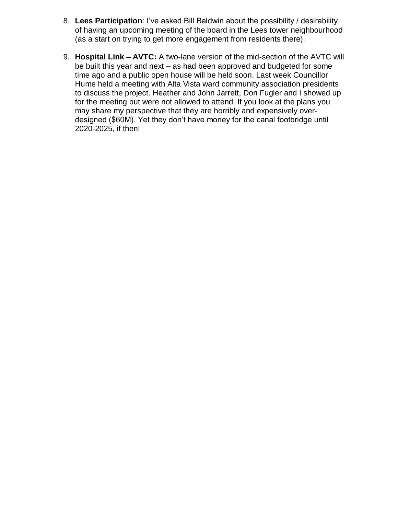- 8. **Lees Participation**: I've asked Bill Baldwin about the possibility / desirability of having an upcoming meeting of the board in the Lees tower neighbourhood (as a start on trying to get more engagement from residents there).
- 9. **Hospital Link – AVTC:** A two-lane version of the mid-section of the AVTC will be built this year and next – as had been approved and budgeted for some time ago and a public open house will be held soon. Last week Councillor Hume held a meeting with Alta Vista ward community association presidents to discuss the project. Heather and John Jarrett, Don Fugler and I showed up for the meeting but were not allowed to attend. If you look at the plans you may share my perspective that they are horribly and expensively overdesigned (\$60M). Yet they don't have money for the canal footbridge until 2020-2025, if then!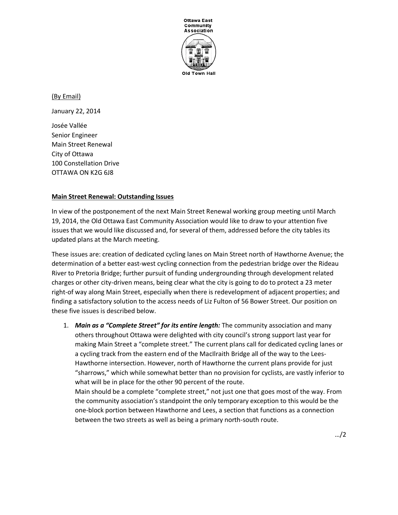

(By Email) January 22, 2014 Josée Vallée Senior Engineer Main Street Renewal City of Ottawa 100 Constellation Drive OTTAWA ON K2G 6J8

## **Main Street Renewal: Outstanding Issues**

In view of the postponement of the next Main Street Renewal working group meeting until March 19, 2014, the Old Ottawa East Community Association would like to draw to your attention five issues that we would like discussed and, for several of them, addressed before the city tables its updated plans at the March meeting.

These issues are: creation of dedicated cycling lanes on Main Street north of Hawthorne Avenue; the determination of a better east-west cycling connection from the pedestrian bridge over the Rideau River to Pretoria Bridge; further pursuit of funding undergrounding through development related charges or other city-driven means, being clear what the city is going to do to protect a 23 meter right-of way along Main Street, especially when there is redevelopment of adjacent properties; and finding a satisfactory solution to the access needs of Liz Fulton of 56 Bower Street. Our position on these five issues is described below.

1. *Main as a "Complete Street" for its entire length:* The community association and many others throughout Ottawa were delighted with city council's strong support last year for making Main Street a "complete street." The current plans call for dedicated cycling lanes or a cycling track from the eastern end of the MacIlraith Bridge all of the way to the Lees-Hawthorne intersection. However, north of Hawthorne the current plans provide for just "sharrows," which while somewhat better than no provision for cyclists, are vastly inferior to what will be in place for the other 90 percent of the route.

Main should be a complete "complete street," not just one that goes most of the way. From the community association's standpoint the only temporary exception to this would be the one-block portion between Hawthorne and Lees, a section that functions as a connection between the two streets as well as being a primary north-south route.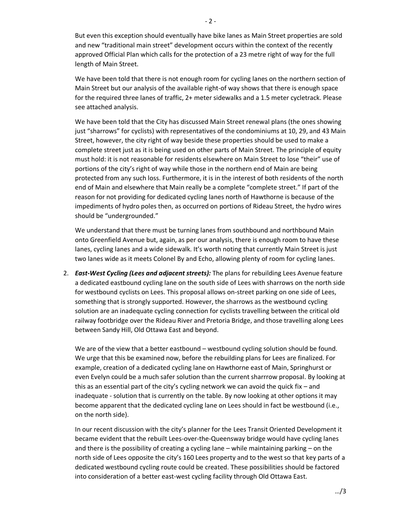But even this exception should eventually have bike lanes as Main Street properties are sold and new "traditional main street" development occurs within the context of the recently approved Official Plan which calls for the protection of a 23 metre right of way for the full length of Main Street.

We have been told that there is not enough room for cycling lanes on the northern section of Main Street but our analysis of the available right-of way shows that there is enough space for the required three lanes of traffic, 2+ meter sidewalks and a 1.5 meter cycletrack. Please see attached analysis.

We have been told that the City has discussed Main Street renewal plans (the ones showing just "sharrows" for cyclists) with representatives of the condominiums at 10, 29, and 43 Main Street, however, the city right of way beside these properties should be used to make a complete street just as it is being used on other parts of Main Street. The principle of equity must hold: it is not reasonable for residents elsewhere on Main Street to lose "their" use of portions of the city's right of way while those in the northern end of Main are being protected from any such loss. Furthermore, it is in the interest of both residents of the north end of Main and elsewhere that Main really be a complete "complete street." If part of the reason for not providing for dedicated cycling lanes north of Hawthorne is because of the impediments of hydro poles then, as occurred on portions of Rideau Street, the hydro wires should be "undergrounded."

We understand that there must be turning lanes from southbound and northbound Main onto Greenfield Avenue but, again, as per our analysis, there is enough room to have these lanes, cycling lanes and a wide sidewalk. It's worth noting that currently Main Street is just two lanes wide as it meets Colonel By and Echo, allowing plenty of room for cycling lanes.

2. *East-West Cycling (Lees and adjacent streets):* The plans for rebuilding Lees Avenue feature a dedicated eastbound cycling lane on the south side of Lees with sharrows on the north side for westbound cyclists on Lees. This proposal allows on-street parking on one side of Lees, something that is strongly supported. However, the sharrows as the westbound cycling solution are an inadequate cycling connection for cyclists travelling between the critical old railway footbridge over the Rideau River and Pretoria Bridge, and those travelling along Lees between Sandy Hill, Old Ottawa East and beyond.

We are of the view that a better eastbound – westbound cycling solution should be found. We urge that this be examined now, before the rebuilding plans for Lees are finalized. For example, creation of a dedicated cycling lane on Hawthorne east of Main, Springhurst or even Evelyn could be a much safer solution than the current sharrrow proposal. By looking at this as an essential part of the city's cycling network we can avoid the quick fix – and inadequate - solution that is currently on the table. By now looking at other options it may become apparent that the dedicated cycling lane on Lees should in fact be westbound (i.e., on the north side).

In our recent discussion with the city's planner for the Lees Transit Oriented Development it became evident that the rebuilt Lees-over-the-Queensway bridge would have cycling lanes and there is the possibility of creating a cycling lane – while maintaining parking – on the north side of Lees opposite the city's 160 Lees property and to the west so that key parts of a dedicated westbound cycling route could be created. These possibilities should be factored into consideration of a better east-west cycling facility through Old Ottawa East.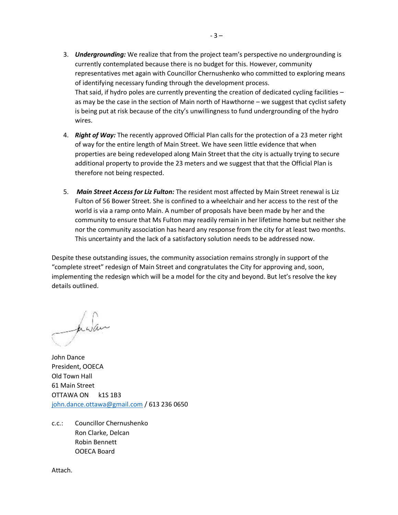- 3. *Undergrounding:* We realize that from the project team's perspective no undergrounding is currently contemplated because there is no budget for this. However, community representatives met again with Councillor Chernushenko who committed to exploring means of identifying necessary funding through the development process. That said, if hydro poles are currently preventing the creation of dedicated cycling facilities – as may be the case in the section of Main north of Hawthorne – we suggest that cyclist safety is being put at risk because of the city's unwillingness to fund undergrounding of the hydro wires.
- 4. *Right of Way:* The recently approved Official Plan calls for the protection of a 23 meter right of way for the entire length of Main Street. We have seen little evidence that when properties are being redeveloped along Main Street that the city is actually trying to secure additional property to provide the 23 meters and we suggest that that the Official Plan is therefore not being respected.
- 5. *Main Street Access for Liz Fulton:* The resident most affected by Main Street renewal is Liz Fulton of 56 Bower Street. She is confined to a wheelchair and her access to the rest of the world is via a ramp onto Main. A number of proposals have been made by her and the community to ensure that Ms Fulton may readily remain in her lifetime home but neither she nor the community association has heard any response from the city for at least two months. This uncertainty and the lack of a satisfactory solution needs to be addressed now.

Despite these outstanding issues, the community association remains strongly in support of the "complete street" redesign of Main Street and congratulates the City for approving and, soon, implementing the redesign which will be a model for the city and beyond. But let's resolve the key details outlined.

halan

John Dance President, OOECA Old Town Hall 61 Main Street OTTAWA ON k1S 1B3 [john.dance.ottawa@gmail.com](mailto:john.dance.ottawa@gmail.com) / 613 236 0650

c.c.: Councillor Chernushenko Ron Clarke, Delcan Robin Bennett OOECA Board

Attach.